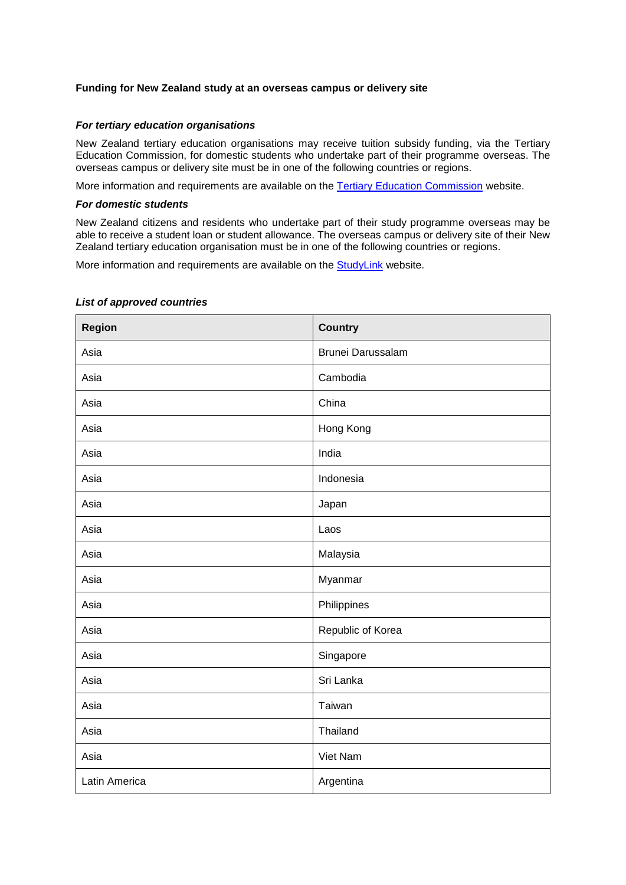## **Funding for New Zealand study at an overseas campus or delivery site**

## *For tertiary education organisations*

New Zealand tertiary education organisations may receive tuition subsidy funding, via the Tertiary Education Commission, for domestic students who undertake part of their programme overseas. The overseas campus or delivery site must be in one of the following countries or regions.

More information and requirements are available on the [Tertiary Education Commission](http://www.tec.govt.nz/funding/funding-and-performance/funding/funding-conditions-by-year/) website.

## *For domestic students*

New Zealand citizens and residents who undertake part of their study programme overseas may be able to receive a student loan or student allowance. The overseas campus or delivery site of their New Zealand tertiary education organisation must be in one of the following countries or regions.

More information and requirements are available on the [StudyLink](https://www.studylink.govt.nz/starting-study/whats-available/studying-overseas.html) website.

| Region        | <b>Country</b>    |
|---------------|-------------------|
| Asia          | Brunei Darussalam |
| Asia          | Cambodia          |
| Asia          | China             |
| Asia          | Hong Kong         |
| Asia          | India             |
| Asia          | Indonesia         |
| Asia          | Japan             |
| Asia          | Laos              |
| Asia          | Malaysia          |
| Asia          | Myanmar           |
| Asia          | Philippines       |
| Asia          | Republic of Korea |
| Asia          | Singapore         |
| Asia          | Sri Lanka         |
| Asia          | Taiwan            |
| Asia          | Thailand          |
| Asia          | Viet Nam          |
| Latin America | Argentina         |

## *List of approved countries*